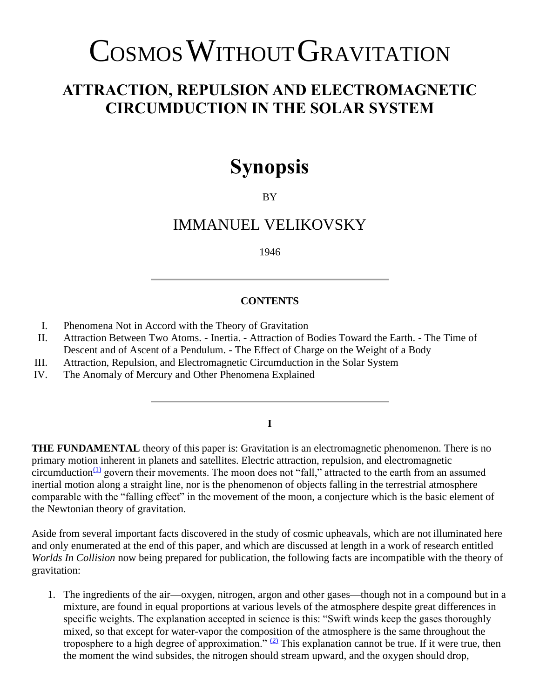# COSMOS WITHOUT GRAVITATION

## **ATTRACTION, REPULSION AND ELECTROMAGNETIC CIRCUMDUCTION IN THE SOLAR SYSTEM**

# **Synopsis**

BY

### IMMANUEL VELIKOVSKY

1946

#### **CONTENTS**

- I. Phenomena Not in Accord with the Theory of Gravitation
- II. Attraction Between Two Atoms. Inertia. Attraction of Bodies Toward the Earth. The Time of Descent and of Ascent of a Pendulum. - The Effect of Charge on the Weight of a Body
- III. Attraction, Repulsion, and Electromagnetic Circumduction in the Solar System
- IV. The Anomaly of Mercury and Other Phenomena Explained

#### **I**

**THE FUNDAMENTAL** theory of this paper is: Gravitation is an electromagnetic phenomenon. There is no primary motion inherent in planets and satellites. Electric attraction, repulsion, and electromagnetic circumduction $\frac{(1)}{2}$  $\frac{(1)}{2}$  $\frac{(1)}{2}$  govern their movements. The moon does not "fall," attracted to the earth from an assumed inertial motion along a straight line, nor is the phenomenon of objects falling in the terrestrial atmosphere comparable with the "falling effect" in the movement of the moon, a conjecture which is the basic element of the Newtonian theory of gravitation.

Aside from several important facts discovered in the study of cosmic upheavals, which are not illuminated here and only enumerated at the end of this paper, and which are discussed at length in a work of research entitled *Worlds In Collision* now being prepared for publication, the following facts are incompatible with the theory of gravitation:

1. The ingredients of the air—oxygen, nitrogen, argon and other gases—though not in a compound but in a mixture, are found in equal proportions at various levels of the atmosphere despite great differences in specific weights. The explanation accepted in science is this: "Swift winds keep the gases thoroughly mixed, so that except for water-vapor the composition of the atmosphere is the same throughout the troposphere to a high degree of approximation."  $(2)$  This explanation cannot be true. If it were true, then the moment the wind subsides, the nitrogen should stream upward, and the oxygen should drop,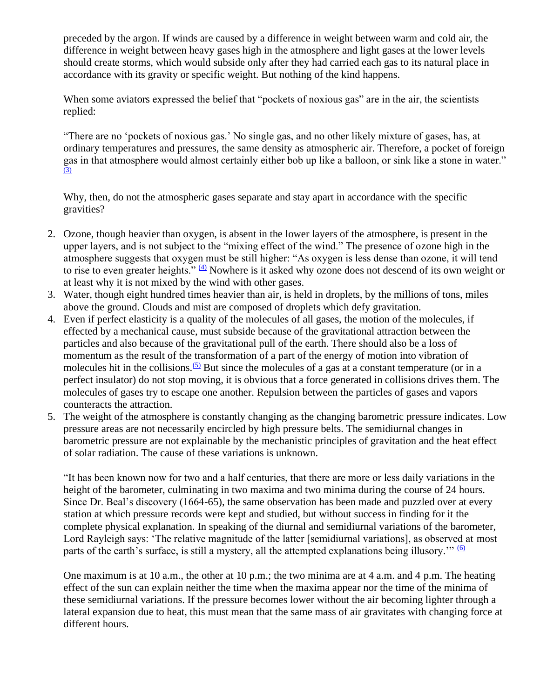preceded by the argon. If winds are caused by a difference in weight between warm and cold air, the difference in weight between heavy gases high in the atmosphere and light gases at the lower levels should create storms, which would subside only after they had carried each gas to its natural place in accordance with its gravity or specific weight. But nothing of the kind happens.

When some aviators expressed the belief that "pockets of noxious gas" are in the air, the scientists replied:

"There are no 'pockets of noxious gas.' No single gas, and no other likely mixture of gases, has, at ordinary temperatures and pressures, the same density as atmospheric air. Therefore, a pocket of foreign gas in that atmosphere would almost certainly either bob up like a balloon, or sink like a stone in water."  $\overline{3}$ 

Why, then, do not the atmospheric gases separate and stay apart in accordance with the specific gravities?

- 2. Ozone, though heavier than oxygen, is absent in the lower layers of the atmosphere, is present in the upper layers, and is not subject to the "mixing effect of the wind." The presence of ozone high in the atmosphere suggests that oxygen must be still higher: "As oxygen is less dense than ozone, it will tend to rise to even greater heights." [\(4\)](https://www.varchive.org/ce/cosmos.htm#f_4) Nowhere is it asked why ozone does not descend of its own weight or at least why it is not mixed by the wind with other gases.
- 3. Water, though eight hundred times heavier than air, is held in droplets, by the millions of tons, miles above the ground. Clouds and mist are composed of droplets which defy gravitation.
- 4. Even if perfect elasticity is a quality of the molecules of all gases, the motion of the molecules, if effected by a mechanical cause, must subside because of the gravitational attraction between the particles and also because of the gravitational pull of the earth. There should also be a loss of momentum as the result of the transformation of a part of the energy of motion into vibration of molecules hit in the collisions.<sup>[\(5\)](https://www.varchive.org/ce/cosmos.htm#f_5)</sup> But since the molecules of a gas at a constant temperature (or in a perfect insulator) do not stop moving, it is obvious that a force generated in collisions drives them. The molecules of gases try to escape one another. Repulsion between the particles of gases and vapors counteracts the attraction.
- 5. The weight of the atmosphere is constantly changing as the changing barometric pressure indicates. Low pressure areas are not necessarily encircled by high pressure belts. The semidiurnal changes in barometric pressure are not explainable by the mechanistic principles of gravitation and the heat effect of solar radiation. The cause of these variations is unknown.

"It has been known now for two and a half centuries, that there are more or less daily variations in the height of the barometer, culminating in two maxima and two minima during the course of 24 hours. Since Dr. Beal's discovery (1664-65), the same observation has been made and puzzled over at every station at which pressure records were kept and studied, but without success in finding for it the complete physical explanation. In speaking of the diurnal and semidiurnal variations of the barometer, Lord Rayleigh says: 'The relative magnitude of the latter [semidiurnal variations], as observed at most parts of the earth's surface, is still a mystery, all the attempted explanations being illusory." [\(6\)](https://www.varchive.org/ce/cosmos.htm#f_6)

One maximum is at 10 a.m., the other at 10 p.m.; the two minima are at 4 a.m. and 4 p.m. The heating effect of the sun can explain neither the time when the maxima appear nor the time of the minima of these semidiurnal variations. If the pressure becomes lower without the air becoming lighter through a lateral expansion due to heat, this must mean that the same mass of air gravitates with changing force at different hours.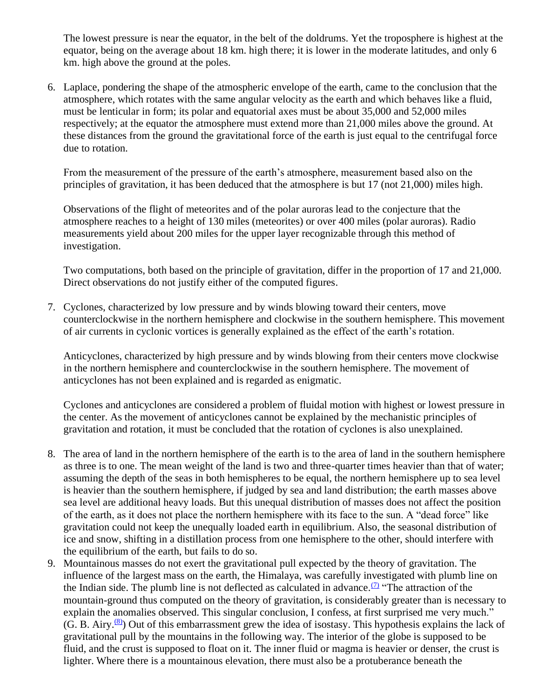The lowest pressure is near the equator, in the belt of the doldrums. Yet the troposphere is highest at the equator, being on the average about 18 km. high there; it is lower in the moderate latitudes, and only 6 km. high above the ground at the poles.

6. Laplace, pondering the shape of the atmospheric envelope of the earth, came to the conclusion that the atmosphere, which rotates with the same angular velocity as the earth and which behaves like a fluid, must be lenticular in form; its polar and equatorial axes must be about 35,000 and 52,000 miles respectively; at the equator the atmosphere must extend more than 21,000 miles above the ground. At these distances from the ground the gravitational force of the earth is just equal to the centrifugal force due to rotation.

From the measurement of the pressure of the earth's atmosphere, measurement based also on the principles of gravitation, it has been deduced that the atmosphere is but 17 (not 21,000) miles high.

Observations of the flight of meteorites and of the polar auroras lead to the conjecture that the atmosphere reaches to a height of 130 miles (meteorites) or over 400 miles (polar auroras). Radio measurements yield about 200 miles for the upper layer recognizable through this method of investigation.

Two computations, both based on the principle of gravitation, differ in the proportion of 17 and 21,000. Direct observations do not justify either of the computed figures.

7. Cyclones, characterized by low pressure and by winds blowing toward their centers, move counterclockwise in the northern hemisphere and clockwise in the southern hemisphere. This movement of air currents in cyclonic vortices is generally explained as the effect of the earth's rotation.

Anticyclones, characterized by high pressure and by winds blowing from their centers move clockwise in the northern hemisphere and counterclockwise in the southern hemisphere. The movement of anticyclones has not been explained and is regarded as enigmatic.

Cyclones and anticyclones are considered a problem of fluidal motion with highest or lowest pressure in the center. As the movement of anticyclones cannot be explained by the mechanistic principles of gravitation and rotation, it must be concluded that the rotation of cyclones is also unexplained.

- 8. The area of land in the northern hemisphere of the earth is to the area of land in the southern hemisphere as three is to one. The mean weight of the land is two and three-quarter times heavier than that of water; assuming the depth of the seas in both hemispheres to be equal, the northern hemisphere up to sea level is heavier than the southern hemisphere, if judged by sea and land distribution; the earth masses above sea level are additional heavy loads. But this unequal distribution of masses does not affect the position of the earth, as it does not place the northern hemisphere with its face to the sun. A "dead force" like gravitation could not keep the unequally loaded earth in equilibrium. Also, the seasonal distribution of ice and snow, shifting in a distillation process from one hemisphere to the other, should interfere with the equilibrium of the earth, but fails to do so.
- 9. Mountainous masses do not exert the gravitational pull expected by the theory of gravitation. The influence of the largest mass on the earth, the Himalaya, was carefully investigated with plumb line on the Indian side. The plumb line is not deflected as calculated in advance.  $\frac{1}{2}$  "The attraction of the mountain-ground thus computed on the theory of gravitation, is considerably greater than is necessary to explain the anomalies observed. This singular conclusion, I confess, at first surprised me very much."  $(G. B. Airy. <sup>(8)</sup>)$  $(G. B. Airy. <sup>(8)</sup>)$  $(G. B. Airy. <sup>(8)</sup>)$  Out of this embarrassment grew the idea of isostasy. This hypothesis explains the lack of gravitational pull by the mountains in the following way. The interior of the globe is supposed to be fluid, and the crust is supposed to float on it. The inner fluid or magma is heavier or denser, the crust is lighter. Where there is a mountainous elevation, there must also be a protuberance beneath the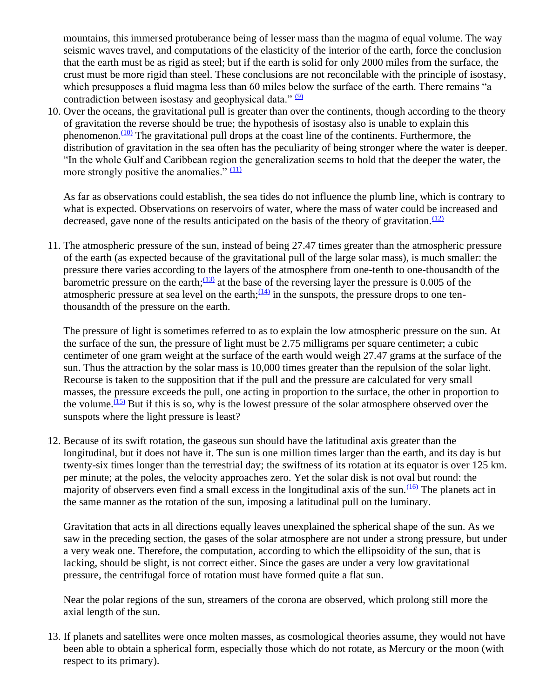mountains, this immersed protuberance being of lesser mass than the magma of equal volume. The way seismic waves travel, and computations of the elasticity of the interior of the earth, force the conclusion that the earth must be as rigid as steel; but if the earth is solid for only 2000 miles from the surface, the crust must be more rigid than steel. These conclusions are not reconcilable with the principle of isostasy, which presupposes a fluid magma less than 60 miles below the surface of the earth. There remains "a contradiction between isostasy and geophysical data."  $(9)$ 

10. Over the oceans, the gravitational pull is greater than over the continents, though according to the theory of gravitation the reverse should be true; the hypothesis of isostasy also is unable to explain this phenomenon. $(10)$  The gravitational pull drops at the coast line of the continents. Furthermore, the distribution of gravitation in the sea often has the peculiarity of being stronger where the water is deeper. "In the whole Gulf and Caribbean region the generalization seems to hold that the deeper the water, the more strongly positive the anomalies."  $(11)$ 

As far as observations could establish, the sea tides do not influence the plumb line, which is contrary to what is expected. Observations on reservoirs of water, where the mass of water could be increased and decreased, gave none of the results anticipated on the basis of the theory of gravitation.<sup> $(12)$ </sup>

11. The atmospheric pressure of the sun, instead of being 27.47 times greater than the atmospheric pressure of the earth (as expected because of the gravitational pull of the large solar mass), is much smaller: the pressure there varies according to the layers of the atmosphere from one-tenth to one-thousandth of the barometric pressure on the earth; $\frac{(13)}{2}$  $\frac{(13)}{2}$  $\frac{(13)}{2}$  at the base of the reversing layer the pressure is 0.005 of the atmospheric pressure at sea level on the earth; $\frac{(14)}{(14)}$  $\frac{(14)}{(14)}$  $\frac{(14)}{(14)}$  in the sunspots, the pressure drops to one tenthousandth of the pressure on the earth.

The pressure of light is sometimes referred to as to explain the low atmospheric pressure on the sun. At the surface of the sun, the pressure of light must be 2.75 milligrams per square centimeter; a cubic centimeter of one gram weight at the surface of the earth would weigh 27.47 grams at the surface of the sun. Thus the attraction by the solar mass is 10,000 times greater than the repulsion of the solar light. Recourse is taken to the supposition that if the pull and the pressure are calculated for very small masses, the pressure exceeds the pull, one acting in proportion to the surface, the other in proportion to the volume.  $(15)$  But if this is so, why is the lowest pressure of the solar atmosphere observed over the sunspots where the light pressure is least?

12. Because of its swift rotation, the gaseous sun should have the latitudinal axis greater than the longitudinal, but it does not have it. The sun is one million times larger than the earth, and its day is but twenty-six times longer than the terrestrial day; the swiftness of its rotation at its equator is over 125 km. per minute; at the poles, the velocity approaches zero. Yet the solar disk is not oval but round: the majority of observers even find a small excess in the longitudinal axis of the sun.  $(16)$  The planets act in the same manner as the rotation of the sun, imposing a latitudinal pull on the luminary.

Gravitation that acts in all directions equally leaves unexplained the spherical shape of the sun. As we saw in the preceding section, the gases of the solar atmosphere are not under a strong pressure, but under a very weak one. Therefore, the computation, according to which the ellipsoidity of the sun, that is lacking, should be slight, is not correct either. Since the gases are under a very low gravitational pressure, the centrifugal force of rotation must have formed quite a flat sun.

Near the polar regions of the sun, streamers of the corona are observed, which prolong still more the axial length of the sun.

13. If planets and satellites were once molten masses, as cosmological theories assume, they would not have been able to obtain a spherical form, especially those which do not rotate, as Mercury or the moon (with respect to its primary).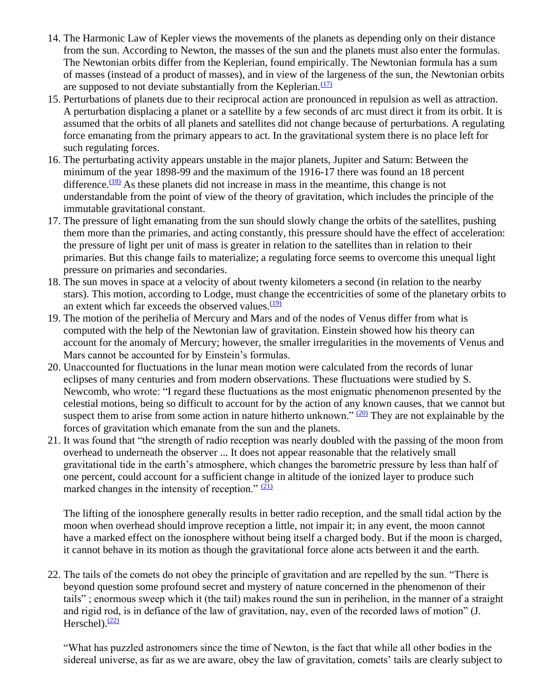- 14. The Harmonic Law of Kepler views the movements of the planets as depending only on their distance from the sun. According to Newton, the masses of the sun and the planets must also enter the formulas. The Newtonian orbits differ from the Keplerian, found empirically. The Newtonian formula has a sum of masses (instead of a product of masses), and in view of the largeness of the sun, the Newtonian orbits are supposed to not deviate substantially from the Keplerian. $\frac{(17)}{2}$  $\frac{(17)}{2}$  $\frac{(17)}{2}$
- 15. Perturbations of planets due to their reciprocal action are pronounced in repulsion as well as attraction. A perturbation displacing a planet or a satellite by a few seconds of arc must direct it from its orbit. It is assumed that the orbits of all planets and satellites did not change because of perturbations. A regulating force emanating from the primary appears to act. In the gravitational system there is no place left for such regulating forces.
- 16. The perturbating activity appears unstable in the major planets, Jupiter and Saturn: Between the minimum of the year 1898-99 and the maximum of the 1916-17 there was found an 18 percent difference. $\frac{(18)}{8}$  $\frac{(18)}{8}$  $\frac{(18)}{8}$  As these planets did not increase in mass in the meantime, this change is not understandable from the point of view of the theory of gravitation, which includes the principle of the immutable gravitational constant.
- 17. The pressure of light emanating from the sun should slowly change the orbits of the satellites, pushing them more than the primaries, and acting constantly, this pressure should have the effect of acceleration: the pressure of light per unit of mass is greater in relation to the satellites than in relation to their primaries. But this change fails to materialize; a regulating force seems to overcome this unequal light pressure on primaries and secondaries.
- 18. The sun moves in space at a velocity of about twenty kilometers a second (in relation to the nearby stars). This motion, according to Lodge, must change the eccentricities of some of the planetary orbits to an extent which far exceeds the observed values. $\frac{(19)}{2}$  $\frac{(19)}{2}$  $\frac{(19)}{2}$
- 19. The motion of the perihelia of Mercury and Mars and of the nodes of Venus differ from what is computed with the help of the Newtonian law of gravitation. Einstein showed how his theory can account for the anomaly of Mercury; however, the smaller irregularities in the movements of Venus and Mars cannot be accounted for by Einstein's formulas.
- 20. Unaccounted for fluctuations in the lunar mean motion were calculated from the records of lunar eclipses of many centuries and from modern observations. These fluctuations were studied by S. Newcomb, who wrote: "I regard these fluctuations as the most enigmatic phenomenon presented by the celestial motions, being so difficult to account for by the action of any known causes, that we cannot but suspect them to arise from some action in nature hitherto unknown."  $(20)$  They are not explainable by the forces of gravitation which emanate from the sun and the planets.
- 21. It was found that "the strength of radio reception was nearly doubled with the passing of the moon from overhead to underneath the observer ... It does not appear reasonable that the relatively small gravitational tide in the earth's atmosphere, which changes the barometric pressure by less than half of one percent, could account for a sufficient change in altitude of the ionized layer to produce such marked changes in the intensity of reception."  $(21)$

The lifting of the ionosphere generally results in better radio reception, and the small tidal action by the moon when overhead should improve reception a little, not impair it; in any event, the moon cannot have a marked effect on the ionosphere without being itself a charged body. But if the moon is charged, it cannot behave in its motion as though the gravitational force alone acts between it and the earth.

22. The tails of the comets do not obey the principle of gravitation and are repelled by the sun. "There is beyond question some profound secret and mystery of nature concerned in the phenomenon of their tails" ; enormous sweep which it (the tail) makes round the sun in perihelion, in the manner of a straight and rigid rod, is in defiance of the law of gravitation, nay, even of the recorded laws of motion" (J. Herschel). $\frac{(22)}{2}$  $\frac{(22)}{2}$  $\frac{(22)}{2}$ 

"What has puzzled astronomers since the time of Newton, is the fact that while all other bodies in the sidereal universe, as far as we are aware, obey the law of gravitation, comets' tails are clearly subject to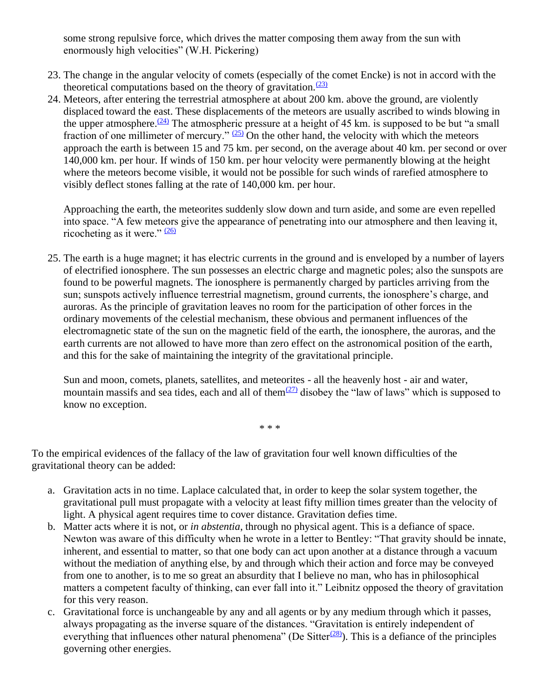some strong repulsive force, which drives the matter composing them away from the sun with enormously high velocities" (W.H. Pickering)

- 23. The change in the angular velocity of comets (especially of the comet Encke) is not in accord with the theoretical computations based on the theory of gravitation. $\frac{(23)}{23}$  $\frac{(23)}{23}$  $\frac{(23)}{23}$
- 24. Meteors, after entering the terrestrial atmosphere at about 200 km. above the ground, are violently displaced toward the east. These displacements of the meteors are usually ascribed to winds blowing in the upper atmosphere.<sup> $(24)$ </sup> The atmospheric pressure at a height of 45 km. is supposed to be but "a small fraction of one millimeter of mercury."  $(25)$  On the other hand, the velocity with which the meteors approach the earth is between 15 and 75 km. per second, on the average about 40 km. per second or over 140,000 km. per hour. If winds of 150 km. per hour velocity were permanently blowing at the height where the meteors become visible, it would not be possible for such winds of rarefied atmosphere to visibly deflect stones falling at the rate of 140,000 km. per hour.

Approaching the earth, the meteorites suddenly slow down and turn aside, and some are even repelled into space. "A few meteors give the appearance of penetrating into our atmosphere and then leaving it, ricocheting as it were."  $(26)$ 

25. The earth is a huge magnet; it has electric currents in the ground and is enveloped by a number of layers of electrified ionosphere. The sun possesses an electric charge and magnetic poles; also the sunspots are found to be powerful magnets. The ionosphere is permanently charged by particles arriving from the sun; sunspots actively influence terrestrial magnetism, ground currents, the ionosphere's charge, and auroras. As the principle of gravitation leaves no room for the participation of other forces in the ordinary movements of the celestial mechanism, these obvious and permanent influences of the electromagnetic state of the sun on the magnetic field of the earth, the ionosphere, the auroras, and the earth currents are not allowed to have more than zero effect on the astronomical position of the earth, and this for the sake of maintaining the integrity of the gravitational principle.

Sun and moon, comets, planets, satellites, and meteorites - all the heavenly host - air and water, mountain massifs and sea tides, each and all of them $(27)$  disobey the "law of laws" which is supposed to know no exception.

\* \* \*

To the empirical evidences of the fallacy of the law of gravitation four well known difficulties of the gravitational theory can be added:

- a. Gravitation acts in no time. Laplace calculated that, in order to keep the solar system together, the gravitational pull must propagate with a velocity at least fifty million times greater than the velocity of light. A physical agent requires time to cover distance. Gravitation defies time.
- b. Matter acts where it is not, or *in abstentia*, through no physical agent. This is a defiance of space. Newton was aware of this difficulty when he wrote in a letter to Bentley: "That gravity should be innate, inherent, and essential to matter, so that one body can act upon another at a distance through a vacuum without the mediation of anything else, by and through which their action and force may be conveyed from one to another, is to me so great an absurdity that I believe no man, who has in philosophical matters a competent faculty of thinking, can ever fall into it." Leibnitz opposed the theory of gravitation for this very reason.
- c. Gravitational force is unchangeable by any and all agents or by any medium through which it passes, always propagating as the inverse square of the distances. "Gravitation is entirely independent of everything that influences other natural phenomena" (De Sitter $\frac{(28)}{2}$  $\frac{(28)}{2}$  $\frac{(28)}{2}$ ). This is a defiance of the principles governing other energies.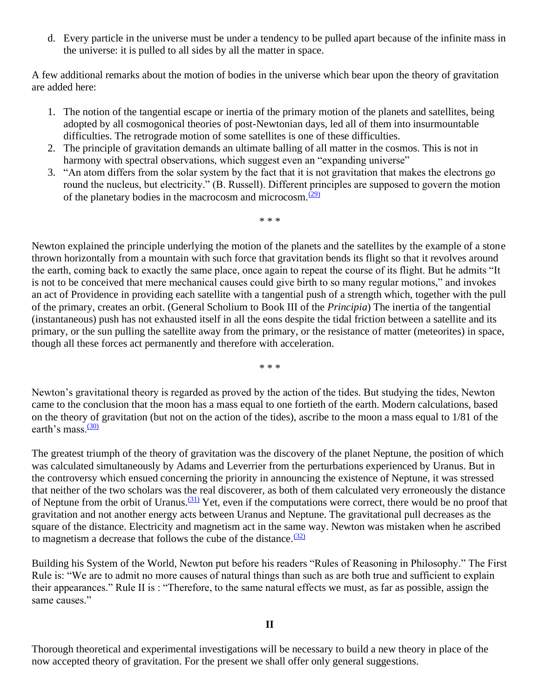d. Every particle in the universe must be under a tendency to be pulled apart because of the infinite mass in the universe: it is pulled to all sides by all the matter in space.

A few additional remarks about the motion of bodies in the universe which bear upon the theory of gravitation are added here:

- 1. The notion of the tangential escape or inertia of the primary motion of the planets and satellites, being adopted by all cosmogonical theories of post-Newtonian days, led all of them into insurmountable difficulties. The retrograde motion of some satellites is one of these difficulties.
- 2. The principle of gravitation demands an ultimate balling of all matter in the cosmos. This is not in harmony with spectral observations, which suggest even an "expanding universe"
- 3. "An atom differs from the solar system by the fact that it is not gravitation that makes the electrons go round the nucleus, but electricity." (B. Russell). Different principles are supposed to govern the motion of the planetary bodies in the macrocosm and microcosm. $\frac{(29)}{29}$  $\frac{(29)}{29}$  $\frac{(29)}{29}$

\* \* \*

Newton explained the principle underlying the motion of the planets and the satellites by the example of a stone thrown horizontally from a mountain with such force that gravitation bends its flight so that it revolves around the earth, coming back to exactly the same place, once again to repeat the course of its flight. But he admits "It is not to be conceived that mere mechanical causes could give birth to so many regular motions," and invokes an act of Providence in providing each satellite with a tangential push of a strength which, together with the pull of the primary, creates an orbit. (General Scholium to Book III of the *Principia*) The inertia of the tangential (instantaneous) push has not exhausted itself in all the eons despite the tidal friction between a satellite and its primary, or the sun pulling the satellite away from the primary, or the resistance of matter (meteorites) in space, though all these forces act permanently and therefore with acceleration.

\* \* \*

Newton's gravitational theory is regarded as proved by the action of the tides. But studying the tides, Newton came to the conclusion that the moon has a mass equal to one fortieth of the earth. Modern calculations, based on the theory of gravitation (but not on the action of the tides), ascribe to the moon a mass equal to 1/81 of the earth's mass. $\frac{(30)}{2}$  $\frac{(30)}{2}$  $\frac{(30)}{2}$ 

The greatest triumph of the theory of gravitation was the discovery of the planet Neptune, the position of which was calculated simultaneously by Adams and Leverrier from the perturbations experienced by Uranus. But in the controversy which ensued concerning the priority in announcing the existence of Neptune, it was stressed that neither of the two scholars was the real discoverer, as both of them calculated very erroneously the distance of Neptune from the orbit of Uranus.<sup>[\(31\)](https://www.varchive.org/ce/cosmos.htm#f_31)</sup> Yet, even if the computations were correct, there would be no proof that gravitation and not another energy acts between Uranus and Neptune. The gravitational pull decreases as the square of the distance. Electricity and magnetism act in the same way. Newton was mistaken when he ascribed to magnetism a decrease that follows the cube of the distance. $(32)$ 

Building his System of the World, Newton put before his readers "Rules of Reasoning in Philosophy." The First Rule is: "We are to admit no more causes of natural things than such as are both true and sufficient to explain their appearances." Rule II is : "Therefore, to the same natural effects we must, as far as possible, assign the same causes."

Thorough theoretical and experimental investigations will be necessary to build a new theory in place of the now accepted theory of gravitation. For the present we shall offer only general suggestions.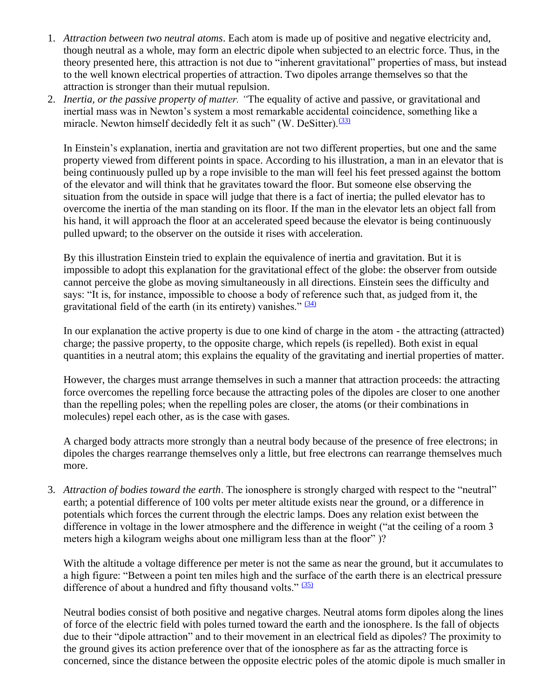- 1. *Attraction between two neutral atoms*. Each atom is made up of positive and negative electricity and, though neutral as a whole, may form an electric dipole when subjected to an electric force. Thus, in the theory presented here, this attraction is not due to "inherent gravitational" properties of mass, but instead to the well known electrical properties of attraction. Two dipoles arrange themselves so that the attraction is stronger than their mutual repulsion.
- 2. *Inertia, or the passive property of matter. "*The equality of active and passive, or gravitational and inertial mass was in Newton's system a most remarkable accidental coincidence, something like a miracle. Newton himself decidedly felt it as such" (W. DeSitter). $\frac{(33)}{(33)}$  $\frac{(33)}{(33)}$  $\frac{(33)}{(33)}$

In Einstein's explanation, inertia and gravitation are not two different properties, but one and the same property viewed from different points in space. According to his illustration, a man in an elevator that is being continuously pulled up by a rope invisible to the man will feel his feet pressed against the bottom of the elevator and will think that he gravitates toward the floor. But someone else observing the situation from the outside in space will judge that there is a fact of inertia; the pulled elevator has to overcome the inertia of the man standing on its floor. If the man in the elevator lets an object fall from his hand, it will approach the floor at an accelerated speed because the elevator is being continuously pulled upward; to the observer on the outside it rises with acceleration.

By this illustration Einstein tried to explain the equivalence of inertia and gravitation. But it is impossible to adopt this explanation for the gravitational effect of the globe: the observer from outside cannot perceive the globe as moving simultaneously in all directions. Einstein sees the difficulty and says: "It is, for instance, impossible to choose a body of reference such that, as judged from it, the gravitational field of the earth (in its entirety) vanishes."  $(34)$ 

In our explanation the active property is due to one kind of charge in the atom - the attracting (attracted) charge; the passive property, to the opposite charge, which repels (is repelled). Both exist in equal quantities in a neutral atom; this explains the equality of the gravitating and inertial properties of matter.

However, the charges must arrange themselves in such a manner that attraction proceeds: the attracting force overcomes the repelling force because the attracting poles of the dipoles are closer to one another than the repelling poles; when the repelling poles are closer, the atoms (or their combinations in molecules) repel each other, as is the case with gases.

A charged body attracts more strongly than a neutral body because of the presence of free electrons; in dipoles the charges rearrange themselves only a little, but free electrons can rearrange themselves much more.

3. *Attraction of bodies toward the earth*. The ionosphere is strongly charged with respect to the "neutral" earth; a potential difference of 100 volts per meter altitude exists near the ground, or a difference in potentials which forces the current through the electric lamps. Does any relation exist between the difference in voltage in the lower atmosphere and the difference in weight ("at the ceiling of a room 3 meters high a kilogram weighs about one milligram less than at the floor" )?

With the altitude a voltage difference per meter is not the same as near the ground, but it accumulates to a high figure: "Between a point ten miles high and the surface of the earth there is an electrical pressure difference of about a hundred and fifty thousand volts." [\(35\)](https://www.varchive.org/ce/cosmos.htm#f_35)

Neutral bodies consist of both positive and negative charges. Neutral atoms form dipoles along the lines of force of the electric field with poles turned toward the earth and the ionosphere. Is the fall of objects due to their "dipole attraction" and to their movement in an electrical field as dipoles? The proximity to the ground gives its action preference over that of the ionosphere as far as the attracting force is concerned, since the distance between the opposite electric poles of the atomic dipole is much smaller in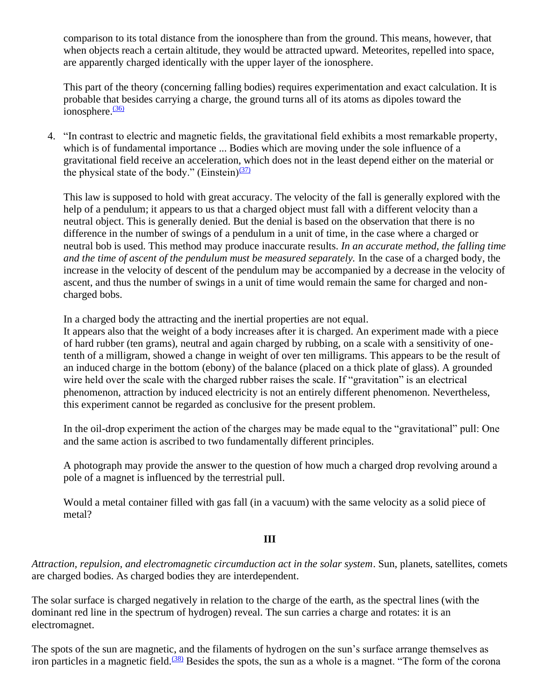comparison to its total distance from the ionosphere than from the ground. This means, however, that when objects reach a certain altitude, they would be attracted upward. Meteorites, repelled into space, are apparently charged identically with the upper layer of the ionosphere.

This part of the theory (concerning falling bodies) requires experimentation and exact calculation. It is probable that besides carrying a charge, the ground turns all of its atoms as dipoles toward the ionosphere. $\frac{(36)}{2}$  $\frac{(36)}{2}$  $\frac{(36)}{2}$ 

4. "In contrast to electric and magnetic fields, the gravitational field exhibits a most remarkable property, which is of fundamental importance ... Bodies which are moving under the sole influence of a gravitational field receive an acceleration, which does not in the least depend either on the material or the physical state of the body." (Einstein) $(37)$ 

This law is supposed to hold with great accuracy. The velocity of the fall is generally explored with the help of a pendulum; it appears to us that a charged object must fall with a different velocity than a neutral object. This is generally denied. But the denial is based on the observation that there is no difference in the number of swings of a pendulum in a unit of time, in the case where a charged or neutral bob is used. This method may produce inaccurate results. *In an accurate method, the falling time and the time of ascent of the pendulum must be measured separately.* In the case of a charged body, the increase in the velocity of descent of the pendulum may be accompanied by a decrease in the velocity of ascent, and thus the number of swings in a unit of time would remain the same for charged and noncharged bobs.

In a charged body the attracting and the inertial properties are not equal.

It appears also that the weight of a body increases after it is charged. An experiment made with a piece of hard rubber (ten grams), neutral and again charged by rubbing, on a scale with a sensitivity of onetenth of a milligram, showed a change in weight of over ten milligrams. This appears to be the result of an induced charge in the bottom (ebony) of the balance (placed on a thick plate of glass). A grounded wire held over the scale with the charged rubber raises the scale. If "gravitation" is an electrical phenomenon, attraction by induced electricity is not an entirely different phenomenon. Nevertheless, this experiment cannot be regarded as conclusive for the present problem.

In the oil-drop experiment the action of the charges may be made equal to the "gravitational" pull: One and the same action is ascribed to two fundamentally different principles.

A photograph may provide the answer to the question of how much a charged drop revolving around a pole of a magnet is influenced by the terrestrial pull.

Would a metal container filled with gas fall (in a vacuum) with the same velocity as a solid piece of metal?

#### **III**

*Attraction, repulsion, and electromagnetic circumduction act in the solar system*. Sun, planets, satellites, comets are charged bodies. As charged bodies they are interdependent.

The solar surface is charged negatively in relation to the charge of the earth, as the spectral lines (with the dominant red line in the spectrum of hydrogen) reveal. The sun carries a charge and rotates: it is an electromagnet.

The spots of the sun are magnetic, and the filaments of hydrogen on the sun's surface arrange themselves as iron particles in a magnetic field.<sup>[\(38\)](https://www.varchive.org/ce/cosmos.htm#f_38)</sup> Besides the spots, the sun as a whole is a magnet. "The form of the corona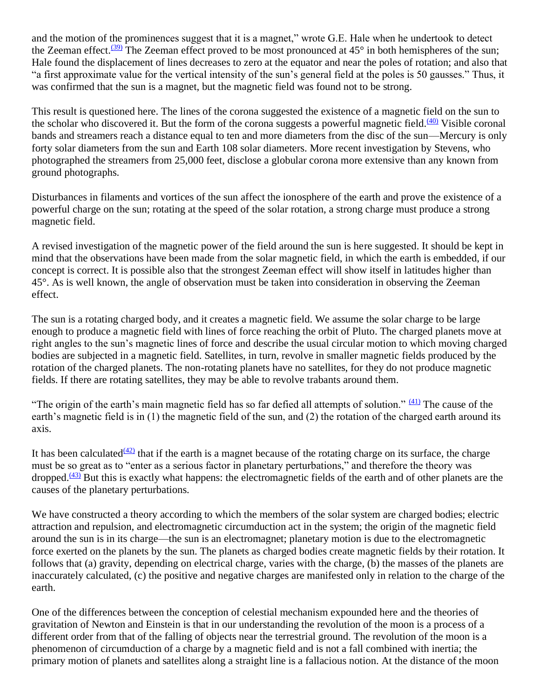and the motion of the prominences suggest that it is a magnet," wrote G.E. Hale when he undertook to detect the Zeeman effect.<sup>[\(39\)](https://www.varchive.org/ce/cosmos.htm#f_39)</sup> The Zeeman effect proved to be most pronounced at 45° in both hemispheres of the sun; Hale found the displacement of lines decreases to zero at the equator and near the poles of rotation; and also that "a first approximate value for the vertical intensity of the sun's general field at the poles is 50 gausses." Thus, it was confirmed that the sun is a magnet, but the magnetic field was found not to be strong.

This result is questioned here. The lines of the corona suggested the existence of a magnetic field on the sun to the scholar who discovered it. But the form of the corona suggests a powerful magnetic field. $(40)$  Visible coronal bands and streamers reach a distance equal to ten and more diameters from the disc of the sun—Mercury is only forty solar diameters from the sun and Earth 108 solar diameters. More recent investigation by Stevens, who photographed the streamers from 25,000 feet, disclose a globular corona more extensive than any known from ground photographs.

Disturbances in filaments and vortices of the sun affect the ionosphere of the earth and prove the existence of a powerful charge on the sun; rotating at the speed of the solar rotation, a strong charge must produce a strong magnetic field.

A revised investigation of the magnetic power of the field around the sun is here suggested. It should be kept in mind that the observations have been made from the solar magnetic field, in which the earth is embedded, if our concept is correct. It is possible also that the strongest Zeeman effect will show itself in latitudes higher than 45°. As is well known, the angle of observation must be taken into consideration in observing the Zeeman effect.

The sun is a rotating charged body, and it creates a magnetic field. We assume the solar charge to be large enough to produce a magnetic field with lines of force reaching the orbit of Pluto. The charged planets move at right angles to the sun's magnetic lines of force and describe the usual circular motion to which moving charged bodies are subjected in a magnetic field. Satellites, in turn, revolve in smaller magnetic fields produced by the rotation of the charged planets. The non-rotating planets have no satellites, for they do not produce magnetic fields. If there are rotating satellites, they may be able to revolve trabants around them.

"The origin of the earth's main magnetic field has so far defied all attempts of solution."  $(41)$  The cause of the earth's magnetic field is in (1) the magnetic field of the sun, and (2) the rotation of the charged earth around its axis.

It has been calculated  $(42)$  that if the earth is a magnet because of the rotating charge on its surface, the charge must be so great as to "enter as a serious factor in planetary perturbations," and therefore the theory was dropped. $(43)$  But this is exactly what happens: the electromagnetic fields of the earth and of other planets are the causes of the planetary perturbations.

We have constructed a theory according to which the members of the solar system are charged bodies; electric attraction and repulsion, and electromagnetic circumduction act in the system; the origin of the magnetic field around the sun is in its charge—the sun is an electromagnet; planetary motion is due to the electromagnetic force exerted on the planets by the sun. The planets as charged bodies create magnetic fields by their rotation. It follows that (a) gravity, depending on electrical charge, varies with the charge, (b) the masses of the planets are inaccurately calculated, (c) the positive and negative charges are manifested only in relation to the charge of the earth.

One of the differences between the conception of celestial mechanism expounded here and the theories of gravitation of Newton and Einstein is that in our understanding the revolution of the moon is a process of a different order from that of the falling of objects near the terrestrial ground. The revolution of the moon is a phenomenon of circumduction of a charge by a magnetic field and is not a fall combined with inertia; the primary motion of planets and satellites along a straight line is a fallacious notion. At the distance of the moon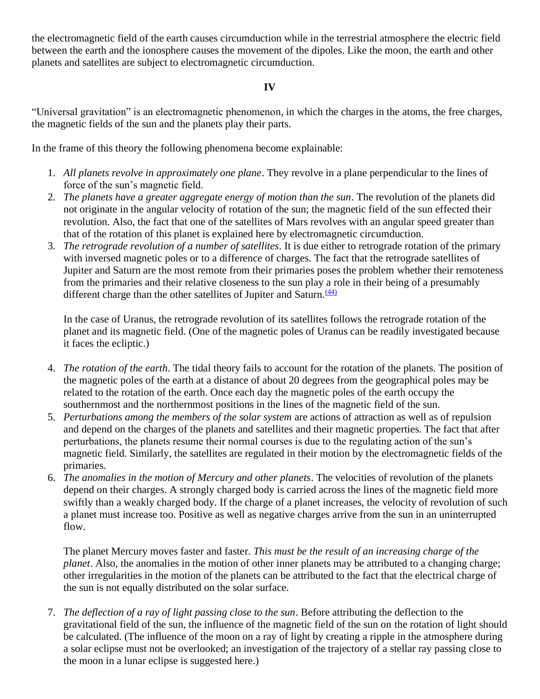the electromagnetic field of the earth causes circumduction while in the terrestrial atmosphere the electric field between the earth and the ionosphere causes the movement of the dipoles. Like the moon, the earth and other planets and satellites are subject to electromagnetic circumduction.

#### **IV**

"Universal gravitation" is an electromagnetic phenomenon, in which the charges in the atoms, the free charges, the magnetic fields of the sun and the planets play their parts.

In the frame of this theory the following phenomena become explainable:

- 1. *All planets revolve in approximately one plane*. They revolve in a plane perpendicular to the lines of force of the sun's magnetic field.
- 2. *The planets have a greater aggregate energy of motion than the sun*. The revolution of the planets did not originate in the angular velocity of rotation of the sun; the magnetic field of the sun effected their revolution. Also, the fact that one of the satellites of Mars revolves with an angular speed greater than that of the rotation of this planet is explained here by electromagnetic circumduction.
- 3. *The retrograde revolution of a number of satellites*. It is due either to retrograde rotation of the primary with inversed magnetic poles or to a difference of charges. The fact that the retrograde satellites of Jupiter and Saturn are the most remote from their primaries poses the problem whether their remoteness from the primaries and their relative closeness to the sun play a role in their being of a presumably different charge than the other satellites of Jupiter and Saturn. $\frac{(44)}{4}$  $\frac{(44)}{4}$  $\frac{(44)}{4}$

In the case of Uranus, the retrograde revolution of its satellites follows the retrograde rotation of the planet and its magnetic field. (One of the magnetic poles of Uranus can be readily investigated because it faces the ecliptic.)

- 4. *The rotation of the earth*. The tidal theory fails to account for the rotation of the planets. The position of the magnetic poles of the earth at a distance of about 20 degrees from the geographical poles may be related to the rotation of the earth. Once each day the magnetic poles of the earth occupy the southernmost and the northernmost positions in the lines of the magnetic field of the sun.
- 5. *Perturbations among the members of the solar system* are actions of attraction as well as of repulsion and depend on the charges of the planets and satellites and their magnetic properties. The fact that after perturbations, the planets resume their normal courses is due to the regulating action of the sun's magnetic field. Similarly, the satellites are regulated in their motion by the electromagnetic fields of the primaries.
- 6. *The anomalies in the motion of Mercury and other planets*. The velocities of revolution of the planets depend on their charges. A strongly charged body is carried across the lines of the magnetic field more swiftly than a weakly charged body. If the charge of a planet increases, the velocity of revolution of such a planet must increase too. Positive as well as negative charges arrive from the sun in an uninterrupted flow.

The planet Mercury moves faster and faster. *This must be the result of an increasing charge of the planet*. Also, the anomalies in the motion of other inner planets may be attributed to a changing charge; other irregularities in the motion of the planets can be attributed to the fact that the electrical charge of the sun is not equally distributed on the solar surface.

7. *The deflection of a ray of light passing close to the sun*. Before attributing the deflection to the gravitational field of the sun, the influence of the magnetic field of the sun on the rotation of light should be calculated. (The influence of the moon on a ray of light by creating a ripple in the atmosphere during a solar eclipse must not be overlooked; an investigation of the trajectory of a stellar ray passing close to the moon in a lunar eclipse is suggested here.)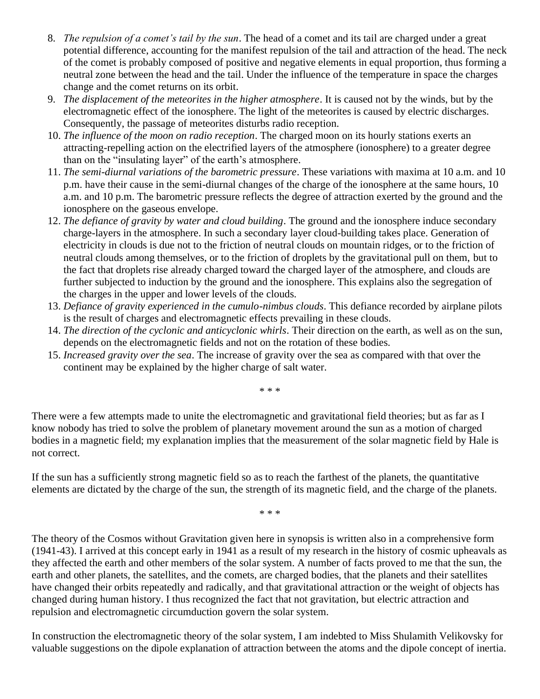- 8. *The repulsion of a comet's tail by the sun*. The head of a comet and its tail are charged under a great potential difference, accounting for the manifest repulsion of the tail and attraction of the head. The neck of the comet is probably composed of positive and negative elements in equal proportion, thus forming a neutral zone between the head and the tail. Under the influence of the temperature in space the charges change and the comet returns on its orbit.
- 9. *The displacement of the meteorites in the higher atmosphere*. It is caused not by the winds, but by the electromagnetic effect of the ionosphere. The light of the meteorites is caused by electric discharges. Consequently, the passage of meteorites disturbs radio reception.
- 10. *The influence of the moon on radio reception*. The charged moon on its hourly stations exerts an attracting-repelling action on the electrified layers of the atmosphere (ionosphere) to a greater degree than on the "insulating layer" of the earth's atmosphere.
- 11. *The semi-diurnal variations of the barometric pressure*. These variations with maxima at 10 a.m. and 10 p.m. have their cause in the semi-diurnal changes of the charge of the ionosphere at the same hours, 10 a.m. and 10 p.m. The barometric pressure reflects the degree of attraction exerted by the ground and the ionosphere on the gaseous envelope.
- 12. *The defiance of gravity by water and cloud building*. The ground and the ionosphere induce secondary charge-layers in the atmosphere. In such a secondary layer cloud-building takes place. Generation of electricity in clouds is due not to the friction of neutral clouds on mountain ridges, or to the friction of neutral clouds among themselves, or to the friction of droplets by the gravitational pull on them, but to the fact that droplets rise already charged toward the charged layer of the atmosphere, and clouds are further subjected to induction by the ground and the ionosphere. This explains also the segregation of the charges in the upper and lower levels of the clouds.
- 13. *Defiance of gravity experienced in the cumulo-nimbus clouds*. This defiance recorded by airplane pilots is the result of charges and electromagnetic effects prevailing in these clouds.
- 14. *The direction of the cyclonic and anticyclonic whirls*. Their direction on the earth, as well as on the sun, depends on the electromagnetic fields and not on the rotation of these bodies.
- 15. *Increased gravity over the sea*. The increase of gravity over the sea as compared with that over the continent may be explained by the higher charge of salt water.

\* \* \*

There were a few attempts made to unite the electromagnetic and gravitational field theories; but as far as I know nobody has tried to solve the problem of planetary movement around the sun as a motion of charged bodies in a magnetic field; my explanation implies that the measurement of the solar magnetic field by Hale is not correct.

If the sun has a sufficiently strong magnetic field so as to reach the farthest of the planets, the quantitative elements are dictated by the charge of the sun, the strength of its magnetic field, and the charge of the planets.

\* \* \*

The theory of the Cosmos without Gravitation given here in synopsis is written also in a comprehensive form (1941-43). I arrived at this concept early in 1941 as a result of my research in the history of cosmic upheavals as they affected the earth and other members of the solar system. A number of facts proved to me that the sun, the earth and other planets, the satellites, and the comets, are charged bodies, that the planets and their satellites have changed their orbits repeatedly and radically, and that gravitational attraction or the weight of objects has changed during human history. I thus recognized the fact that not gravitation, but electric attraction and repulsion and electromagnetic circumduction govern the solar system.

In construction the electromagnetic theory of the solar system, I am indebted to Miss Shulamith Velikovsky for valuable suggestions on the dipole explanation of attraction between the atoms and the dipole concept of inertia.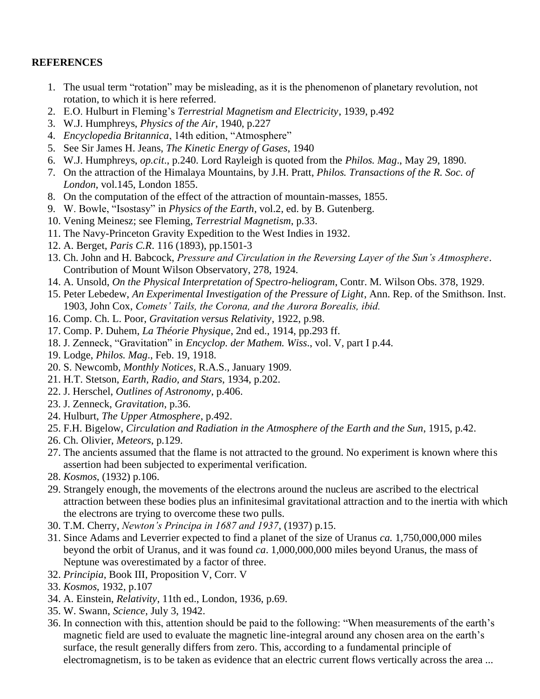#### **REFERENCES**

- 1. The usual term "rotation" may be misleading, as it is the phenomenon of planetary revolution, not rotation, to which it is here referred.
- 2. E.O. Hulburt in Fleming's *Terrestrial Magnetism and Electricity*, 1939, p.492
- 3. W.J. Humphreys, *Physics of the Air*, 1940, p.227
- 4. *Encyclopedia Britannica*, 14th edition, "Atmosphere"
- 5. See Sir James H. Jeans, *The Kinetic Energy of Gases*, 1940
- 6. W.J. Humphreys, *op.cit*., p.240. Lord Rayleigh is quoted from the *Philos. Mag*., May 29, 1890.
- 7. On the attraction of the Himalaya Mountains, by J.H. Pratt, *Philos. Transactions of the R. Soc. of London*, vol.145, London 1855.
- 8. On the computation of the effect of the attraction of mountain-masses, 1855.
- 9. W. Bowle, "Isostasy" in *Physics of the Earth*, vol.2, ed. by B. Gutenberg.
- 10. Vening Meinesz; see Fleming, *Terrestrial Magnetism*, p.33.
- 11. The Navy-Princeton Gravity Expedition to the West Indies in 1932.
- 12. A. Berget, *Paris C.R*. 116 (1893), pp.1501-3
- 13. Ch. John and H. Babcock, *Pressure and Circulation in the Reversing Layer of the Sun's Atmosphere*. Contribution of Mount Wilson Observatory, 278, 1924.
- 14. A. Unsold, *On the Physical Interpretation of Spectro-heliogram*, Contr. M. Wilson Obs. 378, 1929.
- 15. Peter Lebedew, *An Experimental Investigation of the Pressure of Light*, Ann. Rep. of the Smithson. Inst. 1903, John Cox, *Comets' Tails, the Corona, and the Aurora Borealis, ibid.*
- 16. Comp. Ch. L. Poor, *Gravitation versus Relativity*, 1922, p.98.
- 17. Comp. P. Duhem, *La Théorie Physique*, 2nd ed., 1914, pp.293 ff.
- 18. J. Zenneck, "Gravitation" in *Encyclop. der Mathem. Wiss*., vol. V, part I p.44.
- 19. Lodge, *Philos. Mag*., Feb. 19, 1918.
- 20. S. Newcomb, *Monthly Notices*, R.A.S., January 1909.
- 21. H.T. Stetson, *Earth, Radio, and Stars*, 1934, p.202.
- 22. J. Herschel, *Outlines of Astronomy*, p.406.
- 23. J. Zenneck, *Gravitation*, p.36.
- 24. Hulburt, *The Upper Atmosphere*, p.492.
- 25. F.H. Bigelow, *Circulation and Radiation in the Atmosphere of the Earth and the Sun*, 1915, p.42.
- 26. Ch. Olivier, *Meteors*, p.129.
- 27. The ancients assumed that the flame is not attracted to the ground. No experiment is known where this assertion had been subjected to experimental verification.
- 28. *Kosmos*, (1932) p.106.
- 29. Strangely enough, the movements of the electrons around the nucleus are ascribed to the electrical attraction between these bodies plus an infinitesimal gravitational attraction and to the inertia with which the electrons are trying to overcome these two pulls.
- 30. T.M. Cherry, *Newton's Principa in 1687 and 1937*, (1937) p.15.
- 31. Since Adams and Leverrier expected to find a planet of the size of Uranus *ca.* 1,750,000,000 miles beyond the orbit of Uranus, and it was found *ca*. 1,000,000,000 miles beyond Uranus, the mass of Neptune was overestimated by a factor of three.
- 32. *Principia*, Book III, Proposition V, Corr. V
- 33. *Kosmos*, 1932, p.107
- 34. A. Einstein, *Relativity*, 11th ed., London, 1936, p.69.
- 35. W. Swann, *Science*, July 3, 1942.
- 36. In connection with this, attention should be paid to the following: "When measurements of the earth's magnetic field are used to evaluate the magnetic line-integral around any chosen area on the earth's surface, the result generally differs from zero. This, according to a fundamental principle of electromagnetism, is to be taken as evidence that an electric current flows vertically across the area ...